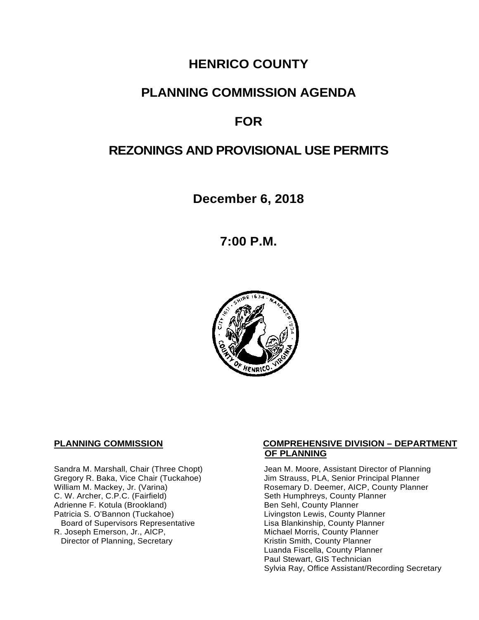# **HENRICO COUNTY**

# **PLANNING COMMISSION AGENDA**

# **FOR**

# **REZONINGS AND PROVISIONAL USE PERMITS**

**December 6, 2018**

**7:00 P.M.**



C. W. Archer, C.P.C. (Fairfield) Seth Humphreys, County I<br>Adrienne F. Kotula (Brookland) Seth Humphreys, County Planner Adrienne F. Kotula (Brookland)<br>Patricia S. O'Bannon (Tuckahoe) Board of Supervisors Representative Lisa Blankinship, County Planner<br>R. Joseph Emerson, Jr., AICP, Michael Morris, County Planner Director of Planning, Secretary

### **PLANNING COMMISSION COMPREHENSIVE DIVISION – DEPARTMENT OF PLANNING**

Sandra M. Marshall, Chair (Three Chopt) Jean M. Moore, Assistant Director of Planning<br>Gregory R. Baka, Vice Chair (Tuckahoe) Jim Strauss, PLA, Senior Principal Planner Gregory R. Baka, Vice Chair (Tuckahoe) *Jim Strauss, PLA, Senior Principal Planner*<br>William M. Mackey, Jr. (Varina) **Macking Principal Planner** Rosemary D. Deemer, AICP, County Planner Rosemary D. Deemer, AICP, County Planner<br>Seth Humphreys, County Planner Livingston Lewis, County Planner Michael Morris, County Planner<br>Kristin Smith, County Planner Luanda Fiscella, County Planner Paul Stewart, GIS Technician Sylvia Ray, Office Assistant/Recording Secretary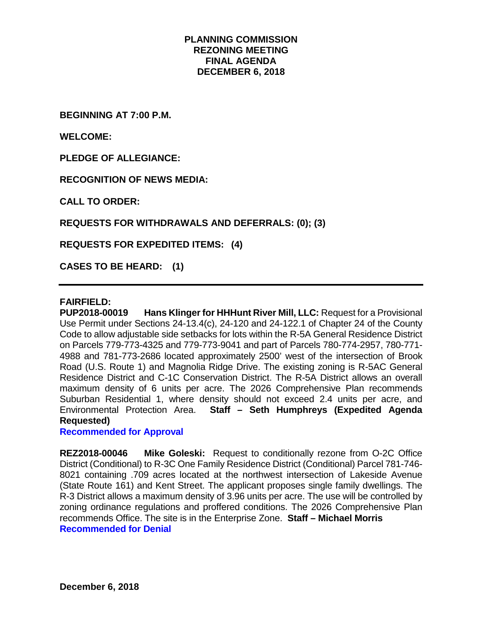# **PLANNING COMMISSION REZONING MEETING FINAL AGENDA DECEMBER 6, 2018**

**BEGINNING AT 7:00 P.M.**

**WELCOME:**

**PLEDGE OF ALLEGIANCE:**

**RECOGNITION OF NEWS MEDIA:**

**CALL TO ORDER:**

**REQUESTS FOR WITHDRAWALS AND DEFERRALS: (0); (3)**

**REQUESTS FOR EXPEDITED ITEMS: (4)**

**CASES TO BE HEARD: (1)**

#### **FAIRFIELD:**

**PUP2018-00019 Hans Klinger for HHHunt River Mill, LLC:** Request for a Provisional Use Permit under Sections 24-13.4(c), 24-120 and 24-122.1 of Chapter 24 of the County Code to allow adjustable side setbacks for lots within the R-5A General Residence District on Parcels 779-773-4325 and 779-773-9041 and part of Parcels 780-774-2957, 780-771- 4988 and 781-773-2686 located approximately 2500' west of the intersection of Brook Road (U.S. Route 1) and Magnolia Ridge Drive. The existing zoning is R-5AC General Residence District and C-1C Conservation District. The R-5A District allows an overall maximum density of 6 units per acre. The 2026 Comprehensive Plan recommends Suburban Residential 1, where density should not exceed 2.4 units per acre, and Environmental Protection Area. **Staff – Seth Humphreys (Expedited Agenda Requested)**

**Recommended for Approval**

**REZ2018-00046 Mike Goleski:** Request to conditionally rezone from O-2C Office District (Conditional) to R-3C One Family Residence District (Conditional) Parcel 781-746- 8021 containing .709 acres located at the northwest intersection of Lakeside Avenue (State Route 161) and Kent Street. The applicant proposes single family dwellings. The R-3 District allows a maximum density of 3.96 units per acre. The use will be controlled by zoning ordinance regulations and proffered conditions. The 2026 Comprehensive Plan recommends Office. The site is in the Enterprise Zone. **Staff – Michael Morris Recommended for Denial**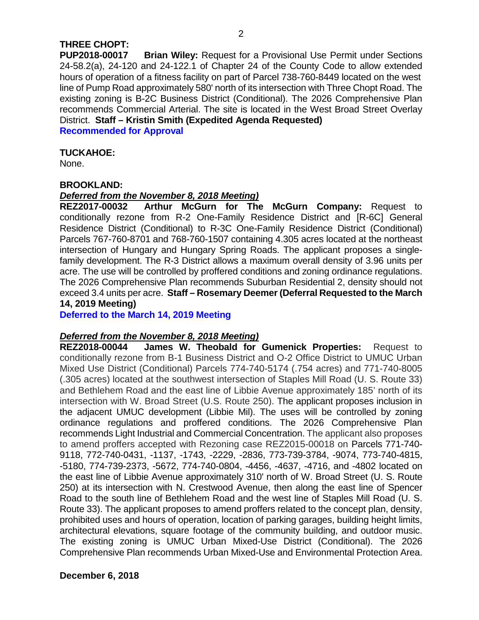# **THREE CHOPT:**

**PUP2018-00017 Brian Wiley:** Request for a Provisional Use Permit under Sections 24-58.2(a), 24-120 and 24-122.1 of Chapter 24 of the County Code to allow extended hours of operation of a fitness facility on part of Parcel 738-760-8449 located on the west line of Pump Road approximately 580' north of its intersection with Three Chopt Road. The existing zoning is B-2C Business District (Conditional). The 2026 Comprehensive Plan recommends Commercial Arterial. The site is located in the West Broad Street Overlay District. **Staff – Kristin Smith (Expedited Agenda Requested)**

**Recommended for Approval**

# **TUCKAHOE:**

None.

# **BROOKLAND:**

# *Deferred from the November 8, 2018 Meeting)*

**REZ2017-00032 Arthur McGurn for The McGurn Company:** Request to conditionally rezone from R-2 One-Family Residence District and [R-6C] General Residence District (Conditional) to R-3C One-Family Residence District (Conditional) Parcels 767-760-8701 and 768-760-1507 containing 4.305 acres located at the northeast intersection of Hungary and Hungary Spring Roads. The applicant proposes a singlefamily development. The R-3 District allows a maximum overall density of 3.96 units per acre. The use will be controlled by proffered conditions and zoning ordinance regulations. The 2026 Comprehensive Plan recommends Suburban Residential 2, density should not exceed 3.4 units per acre. **Staff – Rosemary Deemer (Deferral Requested to the March 14, 2019 Meeting)**

**Deferred to the March 14, 2019 Meeting**

# *Deferred from the November 8, 2018 Meeting)*

**REZ2018-00044 James W. Theobald for Gumenick Properties:** Request to conditionally rezone from B-1 Business District and O-2 Office District to UMUC Urban Mixed Use District (Conditional) Parcels 774-740-5174 (.754 acres) and 771-740-8005 (.305 acres) located at the southwest intersection of Staples Mill Road (U. S. Route 33) and Bethlehem Road and the east line of Libbie Avenue approximately 185' north of its intersection with W. Broad Street (U.S. Route 250). The applicant proposes inclusion in the adjacent UMUC development (Libbie Mil). The uses will be controlled by zoning ordinance regulations and proffered conditions. The 2026 Comprehensive Plan recommends Light Industrial and Commercial Concentration. The applicant also proposes to amend proffers accepted with Rezoning case REZ2015-00018 on Parcels 771-740- 9118, 772-740-0431, -1137, -1743, -2229, -2836, 773-739-3784, -9074, 773-740-4815, -5180, 774-739-2373, -5672, 774-740-0804, -4456, -4637, -4716, and -4802 located on the east line of Libbie Avenue approximately 310' north of W. Broad Street (U. S. Route 250) at its intersection with N. Crestwood Avenue, then along the east line of Spencer Road to the south line of Bethlehem Road and the west line of Staples Mill Road (U. S. Route 33). The applicant proposes to amend proffers related to the concept plan, density, prohibited uses and hours of operation, location of parking garages, building height limits, architectural elevations, square footage of the community building, and outdoor music. The existing zoning is UMUC Urban Mixed-Use District (Conditional). The 2026 Comprehensive Plan recommends Urban Mixed-Use and Environmental Protection Area.

**December 6, 2018**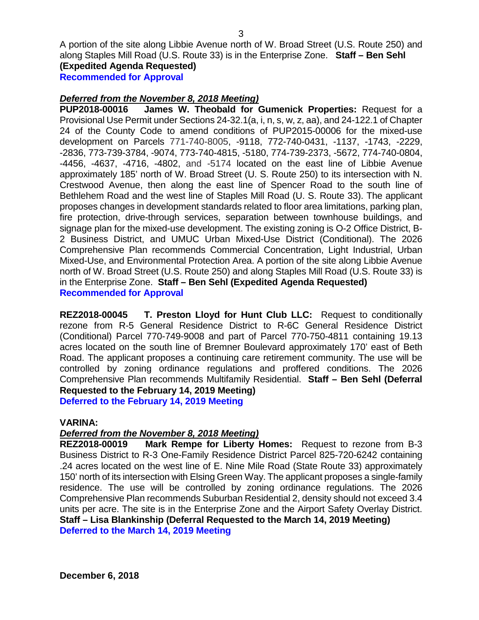A portion of the site along Libbie Avenue north of W. Broad Street (U.S. Route 250) and along Staples Mill Road (U.S. Route 33) is in the Enterprise Zone. **Staff – Ben Sehl (Expedited Agenda Requested)**

**Recommended for Approval**

# *Deferred from the November 8, 2018 Meeting)*

**PUP2018-00016 James W. Theobald for Gumenick Properties:** Request for a Provisional Use Permit under Sections 24-32.1(a, i, n, s, w, z, aa), and 24-122.1 of Chapter 24 of the County Code to amend conditions of PUP2015-00006 for the mixed-use development on Parcels 771-740-8005, -9118, 772-740-0431, -1137, -1743, -2229, -2836, 773-739-3784, -9074, 773-740-4815, -5180, 774-739-2373, -5672, 774-740-0804, -4456, -4637, -4716, -4802, and -5174 located on the east line of Libbie Avenue approximately 185' north of W. Broad Street (U. S. Route 250) to its intersection with N. Crestwood Avenue, then along the east line of Spencer Road to the south line of Bethlehem Road and the west line of Staples Mill Road (U. S. Route 33). The applicant proposes changes in development standards related to floor area limitations, parking plan, fire protection, drive-through services, separation between townhouse buildings, and signage plan for the mixed-use development. The existing zoning is O-2 Office District, B-2 Business District, and UMUC Urban Mixed-Use District (Conditional). The 2026 Comprehensive Plan recommends Commercial Concentration, Light Industrial, Urban Mixed-Use, and Environmental Protection Area. A portion of the site along Libbie Avenue north of W. Broad Street (U.S. Route 250) and along Staples Mill Road (U.S. Route 33) is in the Enterprise Zone. **Staff – Ben Sehl (Expedited Agenda Requested) Recommended for Approval**

**REZ2018-00045 T. Preston Lloyd for Hunt Club LLC:** Request to conditionally rezone from R-5 General Residence District to R-6C General Residence District (Conditional) Parcel 770-749-9008 and part of Parcel 770-750-4811 containing 19.13 acres located on the south line of Bremner Boulevard approximately 170' east of Beth Road. The applicant proposes a continuing care retirement community. The use will be controlled by zoning ordinance regulations and proffered conditions. The 2026 Comprehensive Plan recommends Multifamily Residential. **Staff – Ben Sehl (Deferral Requested to the February 14, 2019 Meeting)**

**Deferred to the February 14, 2019 Meeting**

# **VARINA:**

# *Deferred from the November 8, 2018 Meeting)*

**REZ2018-00019 Mark Rempe for Liberty Homes:** Request to rezone from B-3 Business District to R-3 One-Family Residence District Parcel 825-720-6242 containing .24 acres located on the west line of E. Nine Mile Road (State Route 33) approximately 150' north of its intersection with Elsing Green Way. The applicant proposes a single-family residence. The use will be controlled by zoning ordinance regulations. The 2026 Comprehensive Plan recommends Suburban Residential 2, density should not exceed 3.4 units per acre. The site is in the Enterprise Zone and the Airport Safety Overlay District. **Staff – Lisa Blankinship (Deferral Requested to the March 14, 2019 Meeting) Deferred to the March 14, 2019 Meeting**